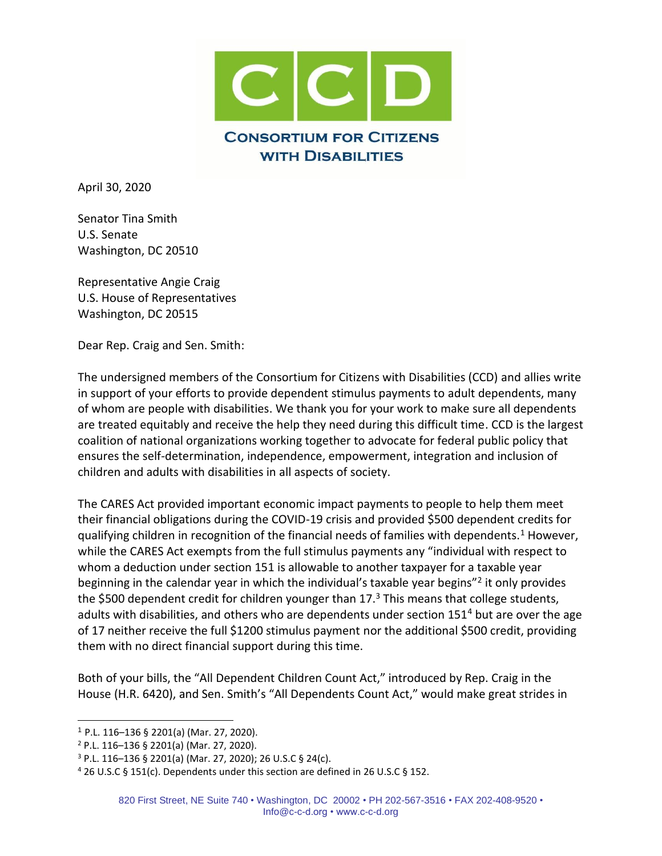

April 30, 2020

Senator Tina Smith U.S. Senate Washington, DC 20510

Representative Angie Craig U.S. House of Representatives Washington, DC 20515

Dear Rep. Craig and Sen. Smith:

The undersigned members of the Consortium for Citizens with Disabilities (CCD) and allies write in support of your efforts to provide dependent stimulus payments to adult dependents, many of whom are people with disabilities. We thank you for your work to make sure all dependents are treated equitably and receive the help they need during this difficult time. CCD is the largest coalition of national organizations working together to advocate for federal public policy that ensures the self-determination, independence, empowerment, integration and inclusion of children and adults with disabilities in all aspects of society.

The CARES Act provided important economic impact payments to people to help them meet their financial obligations during the COVID-19 crisis and provided \$500 dependent credits for qualifying children in recognition of the financial needs of families with dependents.<sup>1</sup> However, while the CARES Act exempts from the full stimulus payments any "individual with respect to whom a deduction under section 151 is allowable to another taxpayer for a taxable year beginning in the calendar year in which the individual's taxable year begins"<sup>2</sup> it only provides the \$500 dependent credit for children younger than  $17<sup>3</sup>$  This means that college students, adults with disabilities, and others who are dependents under section 151<sup>4</sup> but are over the age of 17 neither receive the full \$1200 stimulus payment nor the additional \$500 credit, providing them with no direct financial support during this time.

Both of your bills, the "All Dependent Children Count Act," introduced by Rep. Craig in the House (H.R. 6420), and Sen. Smith's "All Dependents Count Act," would make great strides in

<sup>1</sup> P.L. 116–136 § 2201(a) (Mar. 27, 2020).

<sup>2</sup> P.L. 116–136 § 2201(a) (Mar. 27, 2020).

 $3$  P.L. 116–136 § 2201(a) (Mar. 27, 2020); 26 U.S.C § 24(c).

<sup>4</sup> 26 U.S.C § 151(c). Dependents under this section are defined in 26 U.S.C § 152.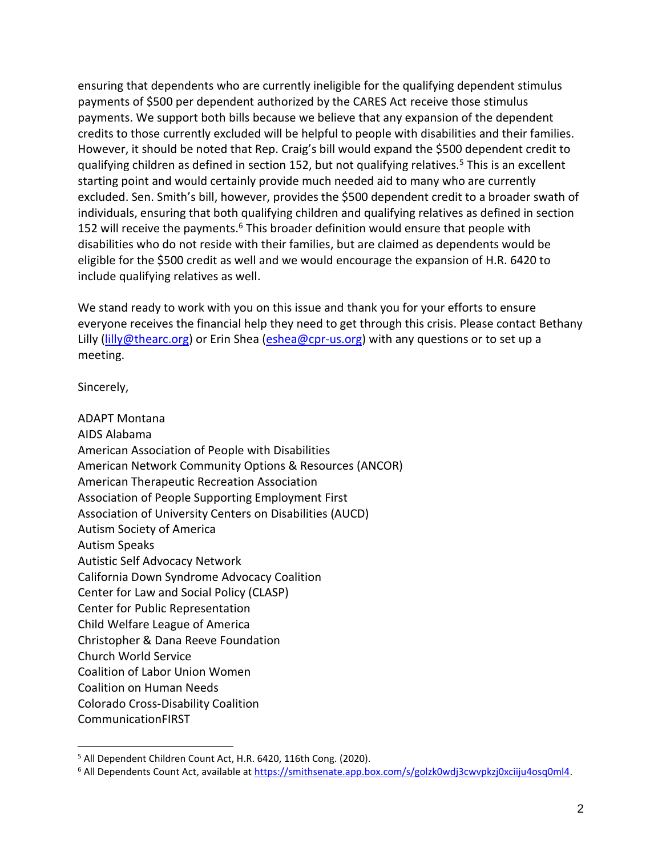ensuring that dependents who are currently ineligible for the qualifying dependent stimulus payments of \$500 per dependent authorized by the CARES Act receive those stimulus payments. We support both bills because we believe that any expansion of the dependent credits to those currently excluded will be helpful to people with disabilities and their families. However, it should be noted that Rep. Craig's bill would expand the \$500 dependent credit to qualifying children as defined in section 152, but not qualifying relatives.<sup>5</sup> This is an excellent starting point and would certainly provide much needed aid to many who are currently excluded. Sen. Smith's bill, however, provides the \$500 dependent credit to a broader swath of individuals, ensuring that both qualifying children and qualifying relatives as defined in section 152 will receive the payments.<sup>6</sup> This broader definition would ensure that people with disabilities who do not reside with their families, but are claimed as dependents would be eligible for the \$500 credit as well and we would encourage the expansion of H.R. 6420 to include qualifying relatives as well.

We stand ready to work with you on this issue and thank you for your efforts to ensure everyone receives the financial help they need to get through this crisis. Please contact Bethany Lilly [\(lilly@thearc.org\)](mailto:lilly@thearc.org) or Erin Shea [\(eshea@cpr-us.org\)](mailto:eshea@cpr-us.org) with any questions or to set up a meeting.

Sincerely,

ADAPT Montana AIDS Alabama American Association of People with Disabilities American Network Community Options & Resources (ANCOR) American Therapeutic Recreation Association Association of People Supporting Employment First Association of University Centers on Disabilities (AUCD) Autism Society of America Autism Speaks Autistic Self Advocacy Network California Down Syndrome Advocacy Coalition Center for Law and Social Policy (CLASP) Center for Public Representation Child Welfare League of America Christopher & Dana Reeve Foundation Church World Service Coalition of Labor Union Women Coalition on Human Needs Colorado Cross-Disability Coalition CommunicationFIRST

<sup>&</sup>lt;sup>5</sup> All Dependent Children Count Act, H.R. 6420, 116th Cong. (2020).

<sup>&</sup>lt;sup>6</sup> All Dependents Count Act, available at https://smithsenate.app.box.com/s/golzk0wdj3cwvpkzj0xciiju4osq0ml4.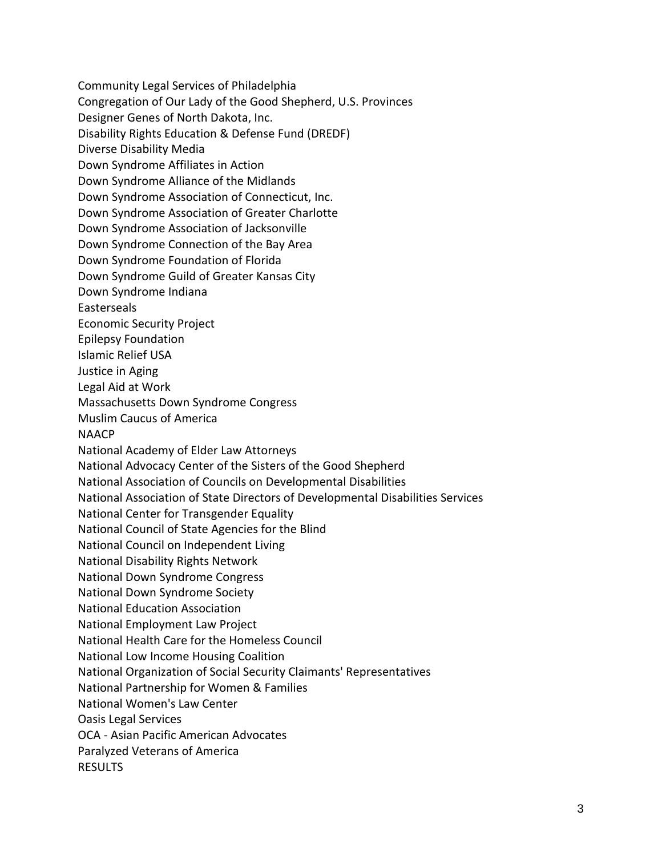Community Legal Services of Philadelphia Congregation of Our Lady of the Good Shepherd, U.S. Provinces Designer Genes of North Dakota, Inc. Disability Rights Education & Defense Fund (DREDF) Diverse Disability Media Down Syndrome Affiliates in Action Down Syndrome Alliance of the Midlands Down Syndrome Association of Connecticut, Inc. Down Syndrome Association of Greater Charlotte Down Syndrome Association of Jacksonville Down Syndrome Connection of the Bay Area Down Syndrome Foundation of Florida Down Syndrome Guild of Greater Kansas City Down Syndrome Indiana Easterseals Economic Security Project Epilepsy Foundation Islamic Relief USA Justice in Aging Legal Aid at Work Massachusetts Down Syndrome Congress Muslim Caucus of America NAACP National Academy of Elder Law Attorneys National Advocacy Center of the Sisters of the Good Shepherd National Association of Councils on Developmental Disabilities National Association of State Directors of Developmental Disabilities Services National Center for Transgender Equality National Council of State Agencies for the Blind National Council on Independent Living National Disability Rights Network National Down Syndrome Congress National Down Syndrome Society National Education Association National Employment Law Project National Health Care for the Homeless Council National Low Income Housing Coalition National Organization of Social Security Claimants' Representatives National Partnership for Women & Families National Women's Law Center Oasis Legal Services OCA - Asian Pacific American Advocates Paralyzed Veterans of America RESULTS